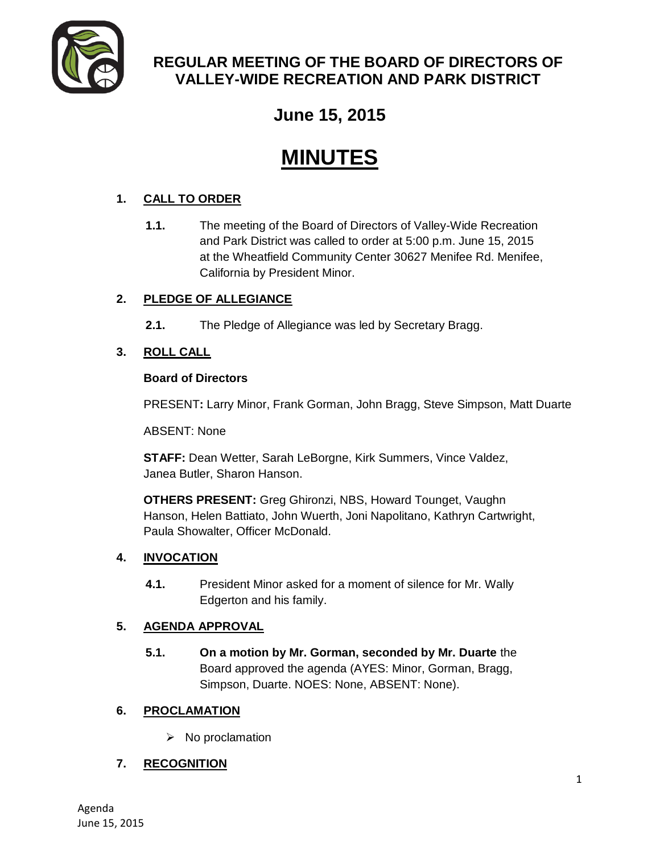

# **REGULAR MEETING OF THE BOARD OF DIRECTORS OF VALLEY-WIDE RECREATION AND PARK DISTRICT**

# **June 15, 2015**

# **MINUTES**

# **1. CALL TO ORDER**

**1.1.** The meeting of the Board of Directors of Valley-Wide Recreation and Park District was called to order at 5:00 p.m. June 15, 2015 at the Wheatfield Community Center 30627 Menifee Rd. Menifee, California by President Minor.

# **2. PLEDGE OF ALLEGIANCE**

**2.1.** The Pledge of Allegiance was led by Secretary Bragg.

# **3. ROLL CALL**

#### **Board of Directors**

PRESENT**:** Larry Minor, Frank Gorman, John Bragg, Steve Simpson, Matt Duarte

ABSENT: None

**STAFF:** Dean Wetter, Sarah LeBorgne, Kirk Summers, Vince Valdez, Janea Butler, Sharon Hanson.

**OTHERS PRESENT:** Greg Ghironzi, NBS, Howard Tounget, Vaughn Hanson, Helen Battiato, John Wuerth, Joni Napolitano, Kathryn Cartwright, Paula Showalter, Officer McDonald.

#### **4. INVOCATION**

**4.1.** President Minor asked for a moment of silence for Mr. Wally Edgerton and his family.

#### **5. AGENDA APPROVAL**

**5.1. On a motion by Mr. Gorman, seconded by Mr. Duarte** the Board approved the agenda (AYES: Minor, Gorman, Bragg, Simpson, Duarte. NOES: None, ABSENT: None).

#### **6. PROCLAMATION**

 $\triangleright$  No proclamation

# **7. RECOGNITION**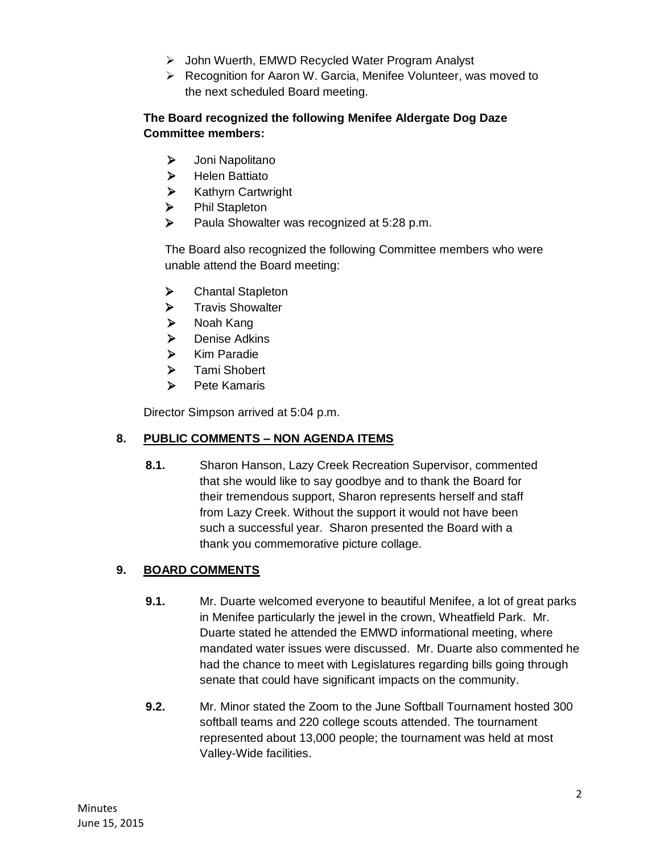- John Wuerth, EMWD Recycled Water Program Analyst
- Recognition for Aaron W. Garcia, Menifee Volunteer, was moved to the next scheduled Board meeting.

#### **The Board recognized the following Menifee Aldergate Dog Daze Committee members:**

- > Joni Napolitano
- > Helen Battiato
- **EXA** Kathyrn Cartwright
- > Phil Stapleton
- ▶ Paula Showalter was recognized at 5:28 p.m.

The Board also recognized the following Committee members who were unable attend the Board meeting:

- > Chantal Stapleton
- $\triangleright$  Travis Showalter
- > Noah Kang
- $\triangleright$  Denise Adkins
- $\triangleright$  Kim Paradie
- > Tami Shobert
- $\triangleright$  Pete Kamaris

Director Simpson arrived at 5:04 p.m.

#### **8. PUBLIC COMMENTS – NON AGENDA ITEMS**

**8.1.** Sharon Hanson, Lazy Creek Recreation Supervisor, commented that she would like to say goodbye and to thank the Board for their tremendous support, Sharon represents herself and staff from Lazy Creek. Without the support it would not have been such a successful year. Sharon presented the Board with a thank you commemorative picture collage.

#### **9. BOARD COMMENTS**

- **9.1.** Mr. Duarte welcomed everyone to beautiful Menifee, a lot of great parks in Menifee particularly the jewel in the crown, Wheatfield Park. Mr. Duarte stated he attended the EMWD informational meeting, where mandated water issues were discussed. Mr. Duarte also commented he had the chance to meet with Legislatures regarding bills going through senate that could have significant impacts on the community.
- **9.2.** Mr. Minor stated the Zoom to the June Softball Tournament hosted 300 softball teams and 220 college scouts attended. The tournament represented about 13,000 people; the tournament was held at most Valley-Wide facilities.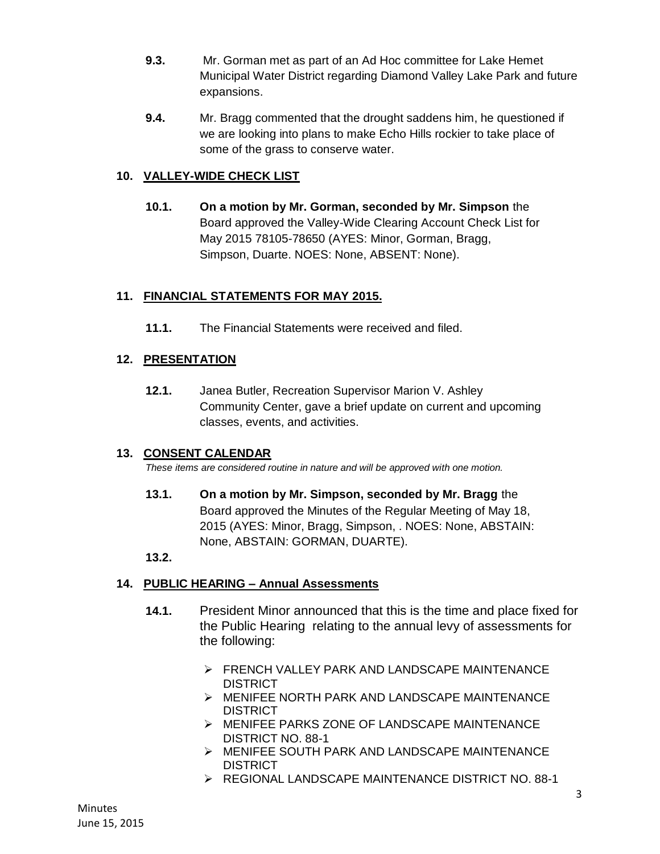- **9.3.** Mr. Gorman met as part of an Ad Hoc committee for Lake Hemet Municipal Water District regarding Diamond Valley Lake Park and future expansions.
- **9.4.** Mr. Bragg commented that the drought saddens him, he questioned if we are looking into plans to make Echo Hills rockier to take place of some of the grass to conserve water.

#### **10. VALLEY-WIDE CHECK LIST**

**10.1. On a motion by Mr. Gorman, seconded by Mr. Simpson** the Board approved the Valley-Wide Clearing Account Check List for May 2015 78105-78650 (AYES: Minor, Gorman, Bragg, Simpson, Duarte. NOES: None, ABSENT: None).

#### **11. FINANCIAL STATEMENTS FOR MAY 2015.**

**11.1.** The Financial Statements were received and filed.

#### **12. PRESENTATION**

**12.1.** Janea Butler, Recreation Supervisor Marion V. Ashley Community Center, gave a brief update on current and upcoming classes, events, and activities.

#### **13. CONSENT CALENDAR**

*These items are considered routine in nature and will be approved with one motion.* 

**13.1. On a motion by Mr. Simpson, seconded by Mr. Bragg** the Board approved the Minutes of the Regular Meeting of May 18, 2015 (AYES: Minor, Bragg, Simpson, . NOES: None, ABSTAIN: None, ABSTAIN: GORMAN, DUARTE).

#### **13.2.**

#### **14. PUBLIC HEARING – Annual Assessments**

- **14.1.** President Minor announced that this is the time and place fixed for the Public Hearing relating to the annual levy of assessments for the following:
	- **FRENCH VALLEY PARK AND LANDSCAPE MAINTENANCE** DISTRICT
	- MENIFEE NORTH PARK AND LANDSCAPE MAINTENANCE DISTRICT
	- MENIFEE PARKS ZONE OF LANDSCAPE MAINTENANCE DISTRICT NO. 88-1
	- MENIFEE SOUTH PARK AND LANDSCAPE MAINTENANCE **DISTRICT**
	- REGIONAL LANDSCAPE MAINTENANCE DISTRICT NO. 88-1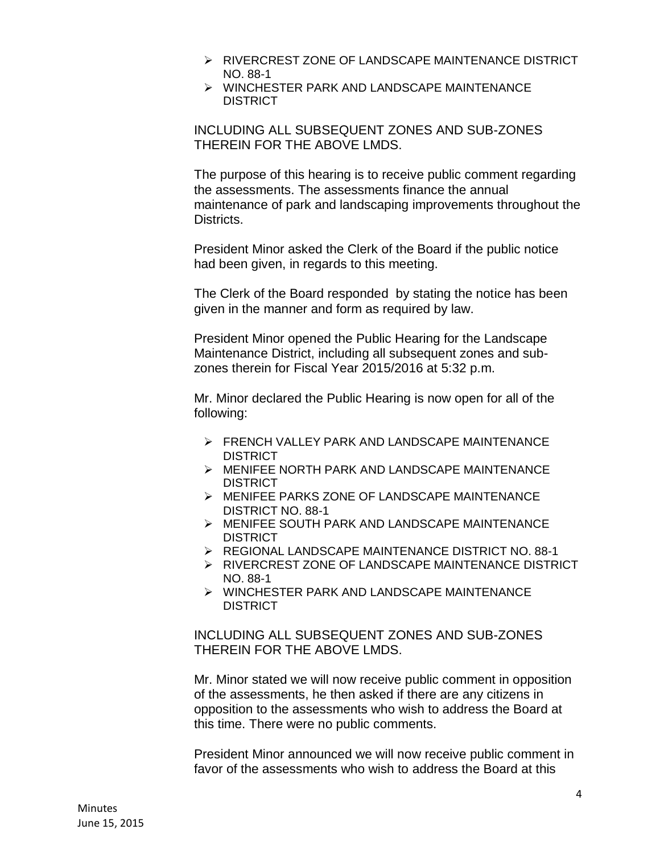- RIVERCREST ZONE OF LANDSCAPE MAINTENANCE DISTRICT NO. 88-1
- $\triangleright$  WINCHESTER PARK AND LANDSCAPE MAINTENANCE **DISTRICT**

INCLUDING ALL SUBSEQUENT ZONES AND SUB-ZONES THEREIN FOR THE ABOVE LMDS.

The purpose of this hearing is to receive public comment regarding the assessments. The assessments finance the annual maintenance of park and landscaping improvements throughout the Districts.

President Minor asked the Clerk of the Board if the public notice had been given, in regards to this meeting.

The Clerk of the Board responded by stating the notice has been given in the manner and form as required by law.

President Minor opened the Public Hearing for the Landscape Maintenance District, including all subsequent zones and subzones therein for Fiscal Year 2015/2016 at 5:32 p.m.

Mr. Minor declared the Public Hearing is now open for all of the following:

- FRENCH VALLEY PARK AND LANDSCAPE MAINTENANCE DISTRICT
- MENIFEE NORTH PARK AND LANDSCAPE MAINTENANCE **DISTRICT**
- MENIFEE PARKS ZONE OF LANDSCAPE MAINTENANCE DISTRICT NO. 88-1
- MENIFEE SOUTH PARK AND LANDSCAPE MAINTENANCE DISTRICT
- REGIONAL LANDSCAPE MAINTENANCE DISTRICT NO. 88-1
- RIVERCREST ZONE OF LANDSCAPE MAINTENANCE DISTRICT NO. 88-1
- WINCHESTER PARK AND LANDSCAPE MAINTENANCE **DISTRICT**

INCLUDING ALL SUBSEQUENT ZONES AND SUB-ZONES THEREIN FOR THE ABOVE LMDS.

Mr. Minor stated we will now receive public comment in opposition of the assessments, he then asked if there are any citizens in opposition to the assessments who wish to address the Board at this time. There were no public comments.

President Minor announced we will now receive public comment in favor of the assessments who wish to address the Board at this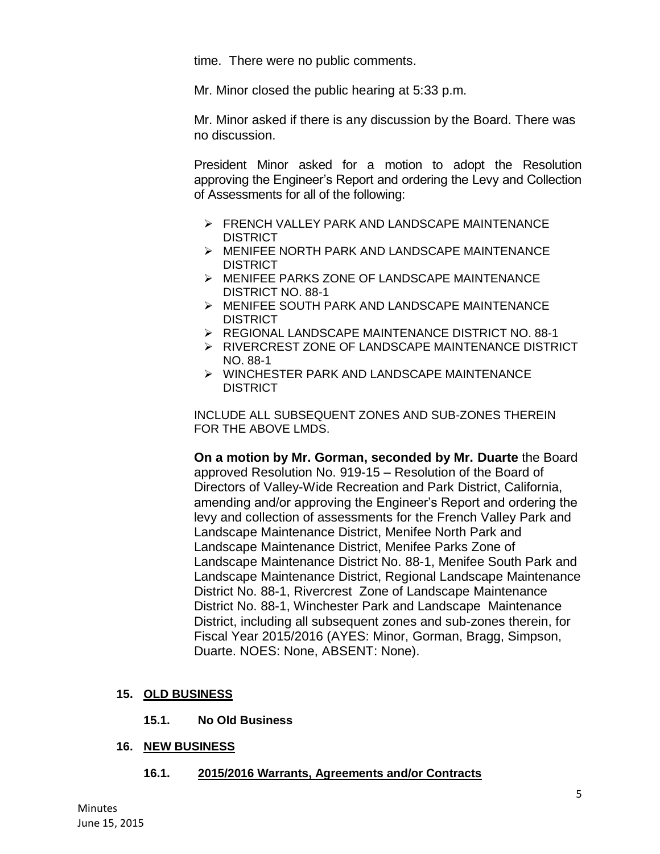time. There were no public comments.

Mr. Minor closed the public hearing at 5:33 p.m.

Mr. Minor asked if there is any discussion by the Board. There was no discussion.

President Minor asked for a motion to adopt the Resolution approving the Engineer's Report and ordering the Levy and Collection of Assessments for all of the following:

- **FRENCH VALLEY PARK AND LANDSCAPE MAINTENANCE** DISTRICT
- MENIFEE NORTH PARK AND LANDSCAPE MAINTENANCE DISTRICT
- MENIFEE PARKS ZONE OF LANDSCAPE MAINTENANCE DISTRICT NO. 88-1
- MENIFEE SOUTH PARK AND LANDSCAPE MAINTENANCE DISTRICT
- REGIONAL LANDSCAPE MAINTENANCE DISTRICT NO. 88-1
- > RIVERCREST ZONE OF LANDSCAPE MAINTENANCE DISTRICT NO. 88-1
- WINCHESTER PARK AND LANDSCAPE MAINTENANCE **DISTRICT**

INCLUDE ALL SUBSEQUENT ZONES AND SUB-ZONES THEREIN FOR THE ABOVE LMDS.

**On a motion by Mr. Gorman, seconded by Mr. Duarte** the Board approved Resolution No. 919-15 – Resolution of the Board of Directors of Valley-Wide Recreation and Park District, California, amending and/or approving the Engineer's Report and ordering the levy and collection of assessments for the French Valley Park and Landscape Maintenance District, Menifee North Park and Landscape Maintenance District, Menifee Parks Zone of Landscape Maintenance District No. 88-1, Menifee South Park and Landscape Maintenance District, Regional Landscape Maintenance District No. 88-1, Rivercrest Zone of Landscape Maintenance District No. 88-1, Winchester Park and Landscape Maintenance District, including all subsequent zones and sub-zones therein, for Fiscal Year 2015/2016 (AYES: Minor, Gorman, Bragg, Simpson, Duarte. NOES: None, ABSENT: None).

#### **15. OLD BUSINESS**

**15.1. No Old Business** 

#### **16. NEW BUSINESS**

**16.1. 2015/2016 Warrants, Agreements and/or Contracts**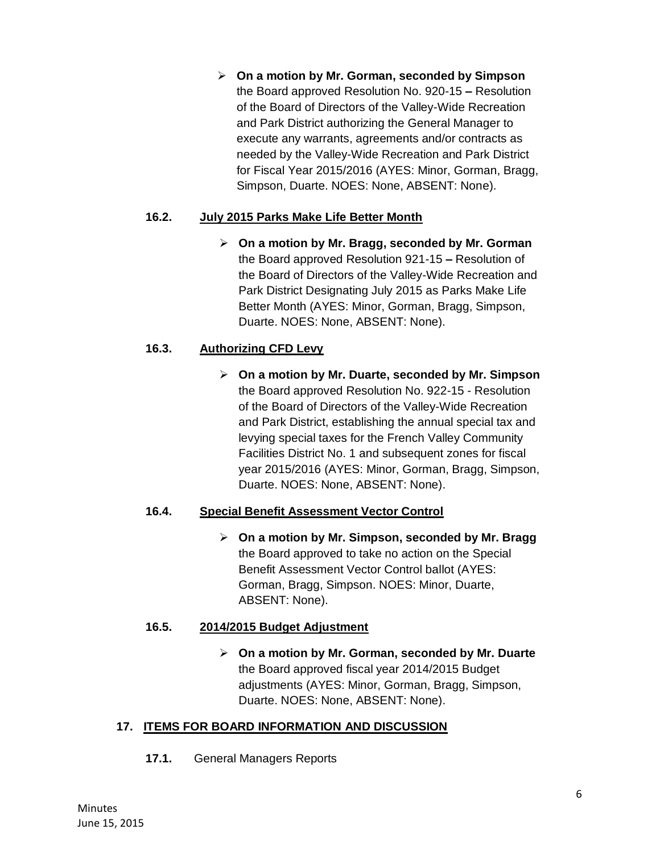**On a motion by Mr. Gorman, seconded by Simpson**  the Board approved Resolution No. 920-15 **–** Resolution of the Board of Directors of the Valley-Wide Recreation and Park District authorizing the General Manager to execute any warrants, agreements and/or contracts as needed by the Valley-Wide Recreation and Park District for Fiscal Year 2015/2016 (AYES: Minor, Gorman, Bragg, Simpson, Duarte. NOES: None, ABSENT: None).

#### **16.2. July 2015 Parks Make Life Better Month**

 **On a motion by Mr. Bragg, seconded by Mr. Gorman**  the Board approved Resolution 921-15 **–** Resolution of the Board of Directors of the Valley-Wide Recreation and Park District Designating July 2015 as Parks Make Life Better Month (AYES: Minor, Gorman, Bragg, Simpson, Duarte. NOES: None, ABSENT: None).

#### **16.3. Authorizing CFD Levy**

 **On a motion by Mr. Duarte, seconded by Mr. Simpson**  the Board approved Resolution No. 922-15 - Resolution of the Board of Directors of the Valley-Wide Recreation and Park District, establishing the annual special tax and levying special taxes for the French Valley Community Facilities District No. 1 and subsequent zones for fiscal year 2015/2016 (AYES: Minor, Gorman, Bragg, Simpson, Duarte. NOES: None, ABSENT: None).

#### **16.4. Special Benefit Assessment Vector Control**

 **On a motion by Mr. Simpson, seconded by Mr. Bragg** the Board approved to take no action on the Special Benefit Assessment Vector Control ballot (AYES: Gorman, Bragg, Simpson. NOES: Minor, Duarte, ABSENT: None).

#### **16.5. 2014/2015 Budget Adjustment**

 **On a motion by Mr. Gorman, seconded by Mr. Duarte** the Board approved fiscal year 2014/2015 Budget adjustments (AYES: Minor, Gorman, Bragg, Simpson, Duarte. NOES: None, ABSENT: None).

#### **17. ITEMS FOR BOARD INFORMATION AND DISCUSSION**

**17.1.** General Managers Reports